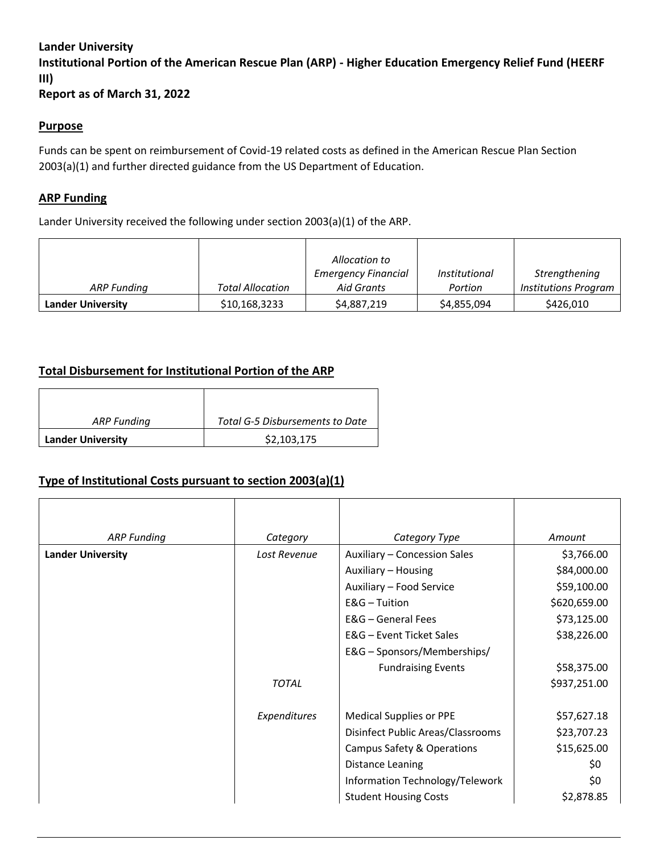#### **Lander University**

**Institutional Portion of the American Rescue Plan (ARP) - Higher Education Emergency Relief Fund (HEERF III)**

**Report as of March 31, 2022**

#### **Purpose**

Funds can be spent on reimbursement of Covid-19 related costs as defined in the American Rescue Plan Section 2003(a)(1) and further directed guidance from the US Department of Education.

#### **ARP Funding**

Lander University received the following under section 2003(a)(1) of the ARP.

|                          |                         | Allocation to              |                      |                             |
|--------------------------|-------------------------|----------------------------|----------------------|-----------------------------|
|                          |                         | <b>Emergency Financial</b> | <i>Institutional</i> | Strengthening               |
| ARP Funding              | <b>Total Allocation</b> | Aid Grants                 | Portion              | <b>Institutions Program</b> |
| <b>Lander University</b> | \$10,168,3233           | \$4,887,219                | \$4,855,094          | \$426,010                   |

## **Total Disbursement for Institutional Portion of the ARP**

| ARP Funding              | Total G-5 Disbursements to Date |  |  |
|--------------------------|---------------------------------|--|--|
| <b>Lander University</b> | \$2,103,175                     |  |  |

## **Type of Institutional Costs pursuant to section 2003(a)(1)**

| <b>ARP Funding</b>       | Category     | Category Type                     | Amount       |
|--------------------------|--------------|-----------------------------------|--------------|
| <b>Lander University</b> | Lost Revenue | Auxiliary - Concession Sales      | \$3,766.00   |
|                          |              | Auxiliary - Housing               | \$84,000.00  |
|                          |              | Auxiliary - Food Service          | \$59,100.00  |
|                          |              | $E&G$ – Tuition                   | \$620,659.00 |
|                          |              | E&G – General Fees                | \$73,125.00  |
|                          |              | E&G - Event Ticket Sales          | \$38,226.00  |
|                          |              | E&G - Sponsors/Memberships/       |              |
|                          |              | <b>Fundraising Events</b>         | \$58,375.00  |
|                          | <b>TOTAL</b> |                                   | \$937,251.00 |
|                          | Expenditures | <b>Medical Supplies or PPE</b>    | \$57,627.18  |
|                          |              | Disinfect Public Areas/Classrooms | \$23,707.23  |
|                          |              | Campus Safety & Operations        | \$15,625.00  |
|                          |              | Distance Leaning                  | \$0          |
|                          |              | Information Technology/Telework   | \$0          |
|                          |              | <b>Student Housing Costs</b>      | \$2,878.85   |